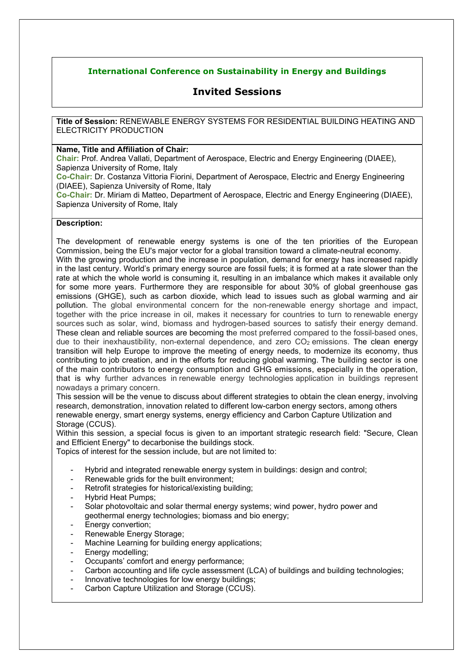## International Conference on Sustainability in Energy and Buildings

# Invited Sessions

Title of Session: RENEWABLE ENERGY SYSTEMS FOR RESIDENTIAL BUILDING HEATING AND ELECTRICITY PRODUCTION

## Name, Title and Affiliation of Chair:

Chair: Prof. Andrea Vallati, Department of Aerospace, Electric and Energy Engineering (DIAEE), Sapienza University of Rome, Italy

Co-Chair: Dr. Costanza Vittoria Fiorini, Department of Aerospace, Electric and Energy Engineering (DIAEE), Sapienza University of Rome, Italy

Co-Chair: Dr. Miriam di Matteo, Department of Aerospace, Electric and Energy Engineering (DIAEE), Sapienza University of Rome, Italy

## Description:

The development of renewable energy systems is one of the ten priorities of the European Commission, being the EU's major vector for a global transition toward a climate-neutral economy. With the growing production and the increase in population, demand for energy has increased rapidly in the last century. World's primary energy source are fossil fuels; it is formed at a rate slower than the rate at which the whole world is consuming it, resulting in an imbalance which makes it available only for some more years. Furthermore they are responsible for about 30% of global greenhouse gas emissions (GHGE), such as carbon dioxide, which lead to issues such as global warming and air pollution. The global environmental concern for the non-renewable energy shortage and impact, together with the price increase in oil, makes it necessary for countries to turn to renewable energy sources such as solar, wind, biomass and hydrogen-based sources to satisfy their energy demand. These clean and reliable sources are becoming the most preferred compared to the fossil-based ones, due to their inexhaustibility, non-external dependence, and zero  $CO<sub>2</sub>$  emissions. The clean energy transition will help Europe to improve the meeting of energy needs, to modernize its economy, thus contributing to job creation, and in the efforts for reducing global warming. The building sector is one of the main contributors to energy consumption and GHG emissions, especially in the operation, that is why further advances in renewable energy technologies application in buildings represent nowadays a primary concern.

This session will be the venue to discuss about different strategies to obtain the clean energy, involving research, demonstration, innovation related to different low-carbon energy sectors, among others renewable energy, smart energy systems, energy efficiency and Carbon Capture Utilization and Storage (CCUS).

Within this session, a special focus is given to an important strategic research field: "Secure, Clean and Efficient Energy" to decarbonise the buildings stock.

Topics of interest for the session include, but are not limited to:

- Hybrid and integrated renewable energy system in buildings: design and control;
- Renewable grids for the built environment;
- Retrofit strategies for historical/existing building;
- Hybrid Heat Pumps;
- Solar photovoltaic and solar thermal energy systems; wind power, hydro power and geothermal energy technologies; biomass and bio energy;
- Energy convertion:
- Renewable Energy Storage;
- Machine Learning for building energy applications;
- Energy modelling;
- Occupants' comfort and energy performance;
- Carbon accounting and life cycle assessment (LCA) of buildings and building technologies;
- Innovative technologies for low energy buildings;
- Carbon Capture Utilization and Storage (CCUS).